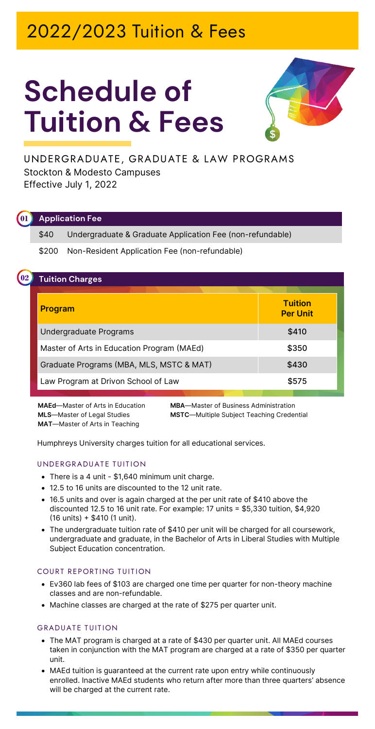## 2022/2023 Tuition & Fees

# **Schedule of Tuition & Fees**



**UNDERGRADUATE, GRADUATE & LAW PROGRAMS** Stockton & Modesto Campuses Effective July 1, 2022

#### **Application Fee 01**

\$40 Undergraduate & Graduate Application Fee (non-refundable)

\$200 Non-Resident Application Fee (non-refundable)

### **02 Tuition Charges**

| <b>Program</b>                             | <b>Tuition</b><br><b>Per Unit</b> |
|--------------------------------------------|-----------------------------------|
| Undergraduate Programs                     | \$410                             |
| Master of Arts in Education Program (MAEd) | \$350                             |
| Graduate Programs (MBA, MLS, MSTC & MAT)   | \$430                             |
| Law Program at Drivon School of Law        | \$575                             |

**MAT**—Master of Arts in Teaching

**MAEd**—Master of Arts in Education **MBA**—Master of Business Administration **MLS**—Master of Legal Studies **MSTC**—Multiple Subject Teaching Credential

Humphreys University charges tuition for all educational services.

#### **UNDERGRADUATE TUITION**

- There is a 4 unit \$1,640 minimum unit charge.
- 12.5 to 16 units are discounted to the 12 unit rate.
- 16.5 units and over is again charged at the per unit rate of \$410 above the discounted 12.5 to 16 unit rate. For example: 17 units = \$5,330 tuition, \$4,920 (16 units) + \$410 (1 unit).
- The undergraduate tuition rate of \$410 per unit will be charged for all coursework, undergraduate and graduate, in the Bachelor of Arts in Liberal Studies with Multiple Subject Education concentration.

#### **COURT REPORTING TUITION**

- Ev360 lab fees of \$103 are charged one time per quarter for non-theory machine classes and are non-refundable.
- Machine classes are charged at the rate of \$275 per quarter unit.

#### **GRADUATE TUITION**

- The MAT program is charged at a rate of \$430 per quarter unit. All MAEd courses taken in conjunction with the MAT program are charged at a rate of \$350 per quarter unit.
- MAEd tuition is guaranteed at the current rate upon entry while continuously enrolled. Inactive MAEd students who return after more than three quarters' absence will be charged at the current rate.